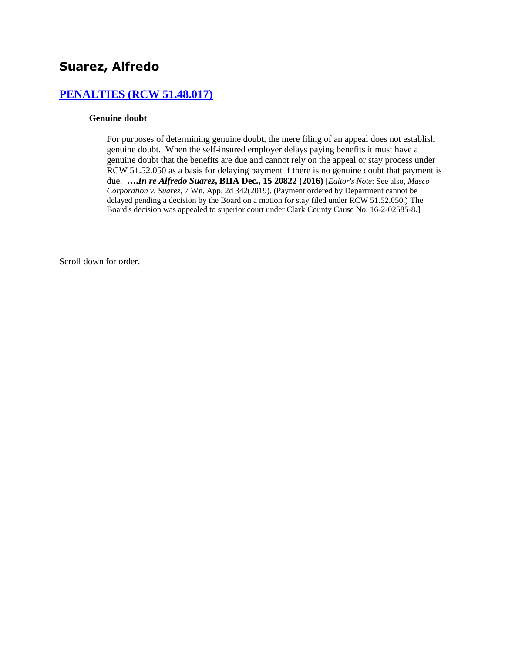# **[PENALTIES \(RCW 51.48.017\)](http://www.biia.wa.gov/SDSubjectIndex.html#PENALTIES)**

#### **Genuine doubt**

For purposes of determining genuine doubt, the mere filing of an appeal does not establish genuine doubt. When the self-insured employer delays paying benefits it must have a genuine doubt that the benefits are due and cannot rely on the appeal or stay process under RCW 51.52.050 as a basis for delaying payment if there is no genuine doubt that payment is due. **….***In re Alfredo Suarez***, BIIA Dec., 15 20822 (2016)** [*Editor's Note*: See also, *Masco Corporation v. Suarez*, 7 Wn. App. 2d 342(2019). (Payment ordered by Department cannot be delayed pending a decision by the Board on a motion for stay filed under RCW 51.52.050.) The Board's decision was appealed to superior court under Clark County Cause No. 16-2-02585-8.]

Scroll down for order.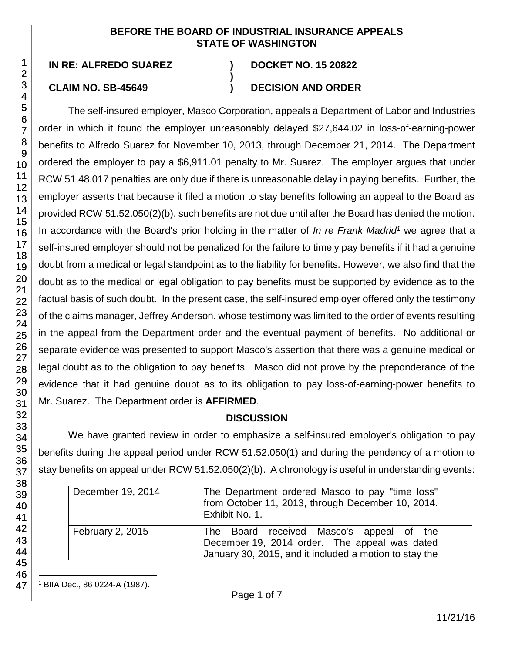### **BEFORE THE BOARD OF INDUSTRIAL INSURANCE APPEALS STATE OF WASHINGTON**

**)**

# **CLAIM NO. SB-45649 ) DECISION AND ORDER**

The self-insured employer, Masco Corporation, appeals a Department of Labor and Industries order in which it found the employer unreasonably delayed \$27,644.02 in loss-of-earning-power benefits to Alfredo Suarez for November 10, 2013, through December 21, 2014. The Department ordered the employer to pay a \$6,911.01 penalty to Mr. Suarez. The employer argues that under RCW 51.48.017 penalties are only due if there is unreasonable delay in paying benefits. Further, the employer asserts that because it filed a motion to stay benefits following an appeal to the Board as provided RCW 51.52.050(2)(b), such benefits are not due until after the Board has denied the motion. In accordance with the Board's prior holding in the matter of *In re Frank Madrid<sup>1</sup>* we agree that a self-insured employer should not be penalized for the failure to timely pay benefits if it had a genuine doubt from a medical or legal standpoint as to the liability for benefits. However, we also find that the doubt as to the medical or legal obligation to pay benefits must be supported by evidence as to the factual basis of such doubt. In the present case, the self-insured employer offered only the testimony of the claims manager, Jeffrey Anderson, whose testimony was limited to the order of events resulting in the appeal from the Department order and the eventual payment of benefits. No additional or separate evidence was presented to support Masco's assertion that there was a genuine medical or legal doubt as to the obligation to pay benefits. Masco did not prove by the preponderance of the evidence that it had genuine doubt as to its obligation to pay loss-of-earning-power benefits to Mr. Suarez. The Department order is **AFFIRMED**.

# **DISCUSSION**

We have granted review in order to emphasize a self-insured employer's obligation to pay benefits during the appeal period under RCW 51.52.050(1) and during the pendency of a motion to stay benefits on appeal under RCW 51.52.050(2)(b). A chronology is useful in understanding events:

| December 19, 2014       | The Department ordered Masco to pay "time loss"<br>from October 11, 2013, through December 10, 2014.<br>Exhibit No. 1.                              |
|-------------------------|-----------------------------------------------------------------------------------------------------------------------------------------------------|
| <b>February 2, 2015</b> | The Board received Masco's appeal of the<br>December 19, 2014 order. The appeal was dated<br>January 30, 2015, and it included a motion to stay the |

l <sup>1</sup> BIIA Dec., 86 0224-A (1987).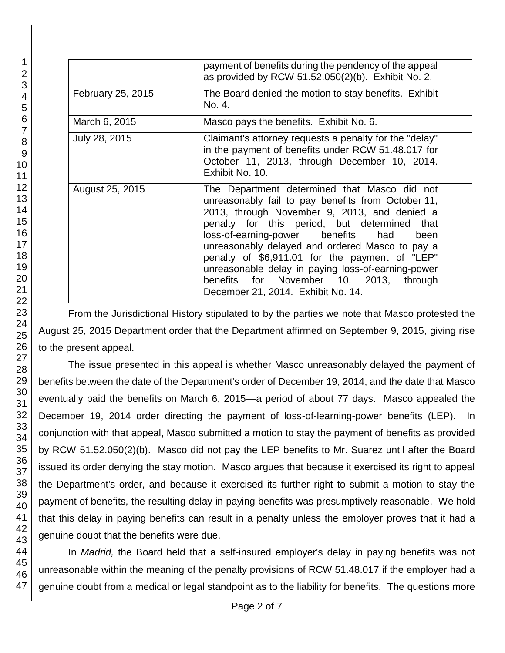|                   | payment of benefits during the pendency of the appeal<br>as provided by RCW 51.52.050(2)(b). Exhibit No. 2.                                                                                                                                                                                                                                                                                                                                                                                  |
|-------------------|----------------------------------------------------------------------------------------------------------------------------------------------------------------------------------------------------------------------------------------------------------------------------------------------------------------------------------------------------------------------------------------------------------------------------------------------------------------------------------------------|
| February 25, 2015 | The Board denied the motion to stay benefits. Exhibit<br>No. 4.                                                                                                                                                                                                                                                                                                                                                                                                                              |
| March 6, 2015     | Masco pays the benefits. Exhibit No. 6.                                                                                                                                                                                                                                                                                                                                                                                                                                                      |
| July 28, 2015     | Claimant's attorney requests a penalty for the "delay"<br>in the payment of benefits under RCW 51.48.017 for<br>October 11, 2013, through December 10, 2014.<br>Exhibit No. 10.                                                                                                                                                                                                                                                                                                              |
| August 25, 2015   | The Department determined that Masco did not<br>unreasonably fail to pay benefits from October 11,<br>2013, through November 9, 2013, and denied a<br>penalty for this period, but determined that<br>loss-of-earning-power benefits had<br>been<br>unreasonably delayed and ordered Masco to pay a<br>penalty of \$6,911.01 for the payment of "LEP"<br>unreasonable delay in paying loss-of-earning-power<br>benefits for November 10, 2013, through<br>December 21, 2014. Exhibit No. 14. |

From the Jurisdictional History stipulated to by the parties we note that Masco protested the August 25, 2015 Department order that the Department affirmed on September 9, 2015, giving rise to the present appeal.

The issue presented in this appeal is whether Masco unreasonably delayed the payment of benefits between the date of the Department's order of December 19, 2014, and the date that Masco eventually paid the benefits on March 6, 2015—a period of about 77 days. Masco appealed the December 19, 2014 order directing the payment of loss-of-learning-power benefits (LEP). In conjunction with that appeal, Masco submitted a motion to stay the payment of benefits as provided by RCW 51.52.050(2)(b). Masco did not pay the LEP benefits to Mr. Suarez until after the Board issued its order denying the stay motion. Masco argues that because it exercised its right to appeal the Department's order, and because it exercised its further right to submit a motion to stay the payment of benefits, the resulting delay in paying benefits was presumptively reasonable. We hold that this delay in paying benefits can result in a penalty unless the employer proves that it had a genuine doubt that the benefits were due.

In *Madrid,* the Board held that a self-insured employer's delay in paying benefits was not unreasonable within the meaning of the penalty provisions of RCW 51.48.017 if the employer had a genuine doubt from a medical or legal standpoint as to the liability for benefits. The questions more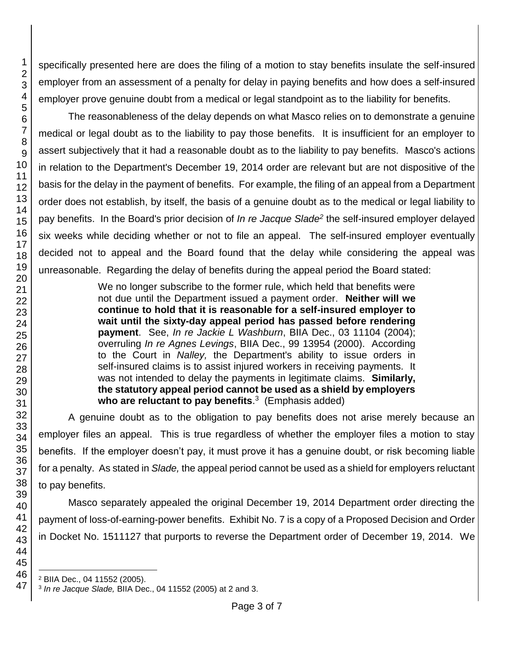46 47

1 2

specifically presented here are does the filing of a motion to stay benefits insulate the self-insured employer from an assessment of a penalty for delay in paying benefits and how does a self-insured employer prove genuine doubt from a medical or legal standpoint as to the liability for benefits.

The reasonableness of the delay depends on what Masco relies on to demonstrate a genuine medical or legal doubt as to the liability to pay those benefits. It is insufficient for an employer to assert subjectively that it had a reasonable doubt as to the liability to pay benefits. Masco's actions in relation to the Department's December 19, 2014 order are relevant but are not dispositive of the basis for the delay in the payment of benefits. For example, the filing of an appeal from a Department order does not establish, by itself, the basis of a genuine doubt as to the medical or legal liability to pay benefits. In the Board's prior decision of *In re Jacque Slade<sup>2</sup>* the self-insured employer delayed six weeks while deciding whether or not to file an appeal. The self-insured employer eventually decided not to appeal and the Board found that the delay while considering the appeal was unreasonable. Regarding the delay of benefits during the appeal period the Board stated:

> We no longer subscribe to the former rule, which held that benefits were not due until the Department issued a payment order. **Neither will we continue to hold that it is reasonable for a self-insured employer to wait until the sixty-day appeal period has passed before rendering payment**. See, *In re Jackie L Washburn*, BIIA Dec., 03 11104 (2004); overruling *In re Agnes Levings*, BIIA Dec., 99 13954 (2000). According to the Court in *Nalley,* the Department's ability to issue orders in self-insured claims is to assist injured workers in receiving payments. It was not intended to delay the payments in legitimate claims. **Similarly, the statutory appeal period cannot be used as a shield by employers who are reluctant to pay benefits**. 3 (Emphasis added)

A genuine doubt as to the obligation to pay benefits does not arise merely because an employer files an appeal. This is true regardless of whether the employer files a motion to stay benefits. If the employer doesn't pay, it must prove it has a genuine doubt, or risk becoming liable for a penalty. As stated in *Slade,* the appeal period cannot be used as a shield for employers reluctant to pay benefits.

Masco separately appealed the original December 19, 2014 Department order directing the payment of loss-of-earning-power benefits. Exhibit No. 7 is a copy of a Proposed Decision and Order in Docket No. 1511127 that purports to reverse the Department order of December 19, 2014. We

<sup>2</sup> BIIA Dec., 04 11552 (2005).

<sup>3</sup> *In re Jacque Slade,* BIIA Dec., 04 11552 (2005) at 2 and 3.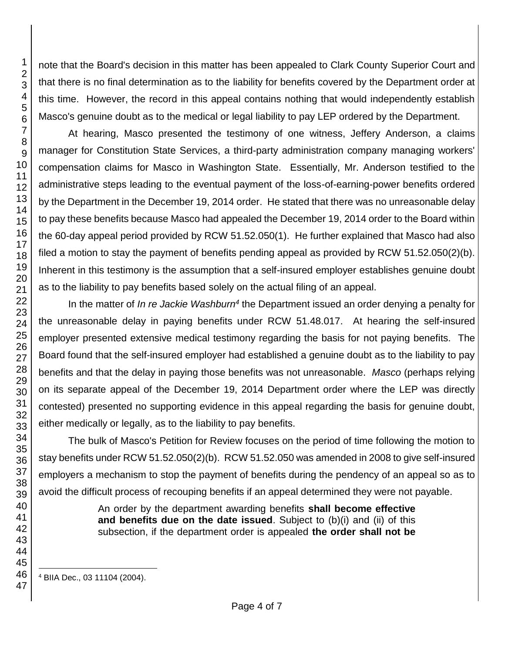note that the Board's decision in this matter has been appealed to Clark County Superior Court and that there is no final determination as to the liability for benefits covered by the Department order at this time. However, the record in this appeal contains nothing that would independently establish Masco's genuine doubt as to the medical or legal liability to pay LEP ordered by the Department.

At hearing, Masco presented the testimony of one witness, Jeffery Anderson, a claims manager for Constitution State Services, a third-party administration company managing workers' compensation claims for Masco in Washington State. Essentially, Mr. Anderson testified to the administrative steps leading to the eventual payment of the loss-of-earning-power benefits ordered by the Department in the December 19, 2014 order. He stated that there was no unreasonable delay to pay these benefits because Masco had appealed the December 19, 2014 order to the Board within the 60-day appeal period provided by RCW 51.52.050(1). He further explained that Masco had also filed a motion to stay the payment of benefits pending appeal as provided by RCW 51.52.050(2)(b). Inherent in this testimony is the assumption that a self-insured employer establishes genuine doubt as to the liability to pay benefits based solely on the actual filing of an appeal.

In the matter of *In re Jackie Washburn<sup>4</sup>* the Department issued an order denying a penalty for the unreasonable delay in paying benefits under RCW 51.48.017. At hearing the self-insured employer presented extensive medical testimony regarding the basis for not paying benefits. The Board found that the self-insured employer had established a genuine doubt as to the liability to pay benefits and that the delay in paying those benefits was not unreasonable. *Masco* (perhaps relying on its separate appeal of the December 19, 2014 Department order where the LEP was directly contested) presented no supporting evidence in this appeal regarding the basis for genuine doubt, either medically or legally, as to the liability to pay benefits.

The bulk of Masco's Petition for Review focuses on the period of time following the motion to stay benefits under RCW 51.52.050(2)(b). RCW 51.52.050 was amended in 2008 to give self-insured employers a mechanism to stop the payment of benefits during the pendency of an appeal so as to avoid the difficult process of recouping benefits if an appeal determined they were not payable.

> An order by the department awarding benefits **shall become effective and benefits due on the date issued**. Subject to (b)(i) and (ii) of this subsection, if the department order is appealed **the order shall not be**

l BIIA Dec., 03 11104 (2004).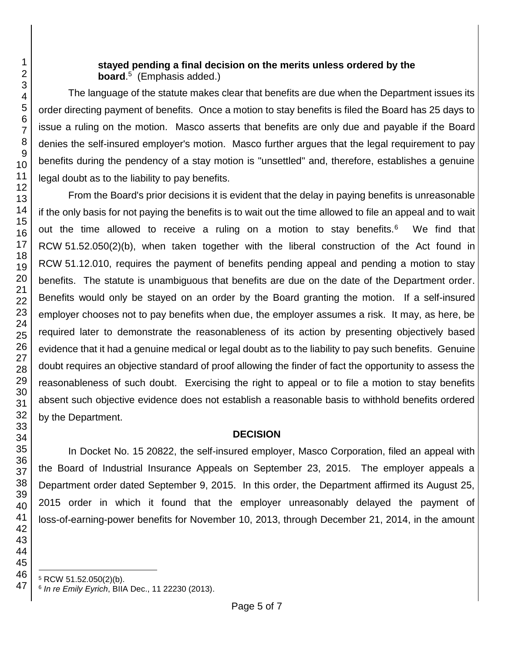### **stayed pending a final decision on the merits unless ordered by the board**. 5 (Emphasis added.)

The language of the statute makes clear that benefits are due when the Department issues its order directing payment of benefits. Once a motion to stay benefits is filed the Board has 25 days to issue a ruling on the motion. Masco asserts that benefits are only due and payable if the Board denies the self-insured employer's motion. Masco further argues that the legal requirement to pay benefits during the pendency of a stay motion is "unsettled" and, therefore, establishes a genuine legal doubt as to the liability to pay benefits.

From the Board's prior decisions it is evident that the delay in paying benefits is unreasonable if the only basis for not paying the benefits is to wait out the time allowed to file an appeal and to wait out the time allowed to receive a ruling on a motion to stay benefits.<sup>6</sup> We find that RCW 51.52.050(2)(b), when taken together with the liberal construction of the Act found in RCW 51.12.010, requires the payment of benefits pending appeal and pending a motion to stay benefits. The statute is unambiguous that benefits are due on the date of the Department order. Benefits would only be stayed on an order by the Board granting the motion. If a self-insured employer chooses not to pay benefits when due, the employer assumes a risk. It may, as here, be required later to demonstrate the reasonableness of its action by presenting objectively based evidence that it had a genuine medical or legal doubt as to the liability to pay such benefits. Genuine doubt requires an objective standard of proof allowing the finder of fact the opportunity to assess the reasonableness of such doubt. Exercising the right to appeal or to file a motion to stay benefits absent such objective evidence does not establish a reasonable basis to withhold benefits ordered by the Department.

## **DECISION**

In Docket No. 15 20822, the self-insured employer, Masco Corporation, filed an appeal with the Board of Industrial Insurance Appeals on September 23, 2015. The employer appeals a Department order dated September 9, 2015. In this order, the Department affirmed its August 25, 2015 order in which it found that the employer unreasonably delayed the payment of loss-of-earning-power benefits for November 10, 2013, through December 21, 2014, in the amount

l RCW 51.52.050(2)(b).

*In re Emily Eyrich*, BIIA Dec., 11 22230 (2013).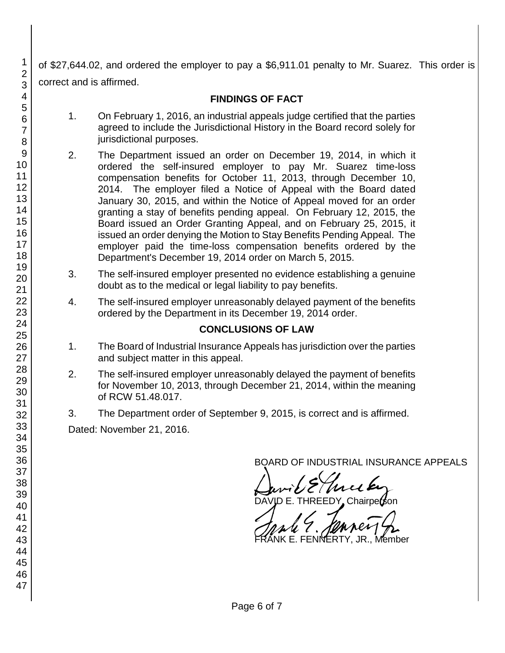of \$27,644.02, and ordered the employer to pay a \$6,911.01 penalty to Mr. Suarez. This order is correct and is affirmed.

# **FINDINGS OF FACT**

- 1. On February 1, 2016, an industrial appeals judge certified that the parties agreed to include the Jurisdictional History in the Board record solely for jurisdictional purposes.
- 2. The Department issued an order on December 19, 2014, in which it ordered the self-insured employer to pay Mr. Suarez time-loss compensation benefits for October 11, 2013, through December 10, 2014. The employer filed a Notice of Appeal with the Board dated January 30, 2015, and within the Notice of Appeal moved for an order granting a stay of benefits pending appeal. On February 12, 2015, the Board issued an Order Granting Appeal, and on February 25, 2015, it issued an order denying the Motion to Stay Benefits Pending Appeal. The employer paid the time-loss compensation benefits ordered by the Department's December 19, 2014 order on March 5, 2015.
- 3. The self-insured employer presented no evidence establishing a genuine doubt as to the medical or legal liability to pay benefits.
- 4. The self-insured employer unreasonably delayed payment of the benefits ordered by the Department in its December 19, 2014 order.

## **CONCLUSIONS OF LAW**

- 1. The Board of Industrial Insurance Appeals has jurisdiction over the parties and subject matter in this appeal.
- 2. The self-insured employer unreasonably delayed the payment of benefits for November 10, 2013, through December 21, 2014, within the meaning of RCW 51.48.017.
- 3. The Department order of September 9, 2015, is correct and is affirmed.

Dated: November 21, 2016.

BOARD OF INDUSTRIAL INSURANCE APPEALS

David Ellier Ey

DAVID E. THREEDY Chairperson

JK F. FFNN**ERTY**,

1